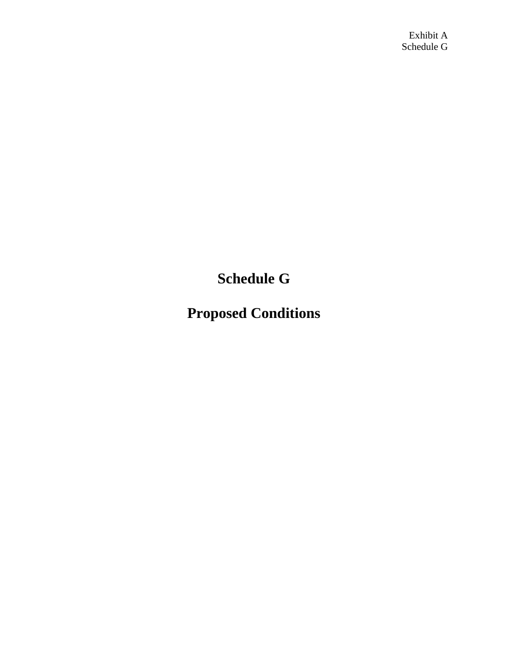Exhibit A Schedule G

**Schedule G**

**Proposed Conditions**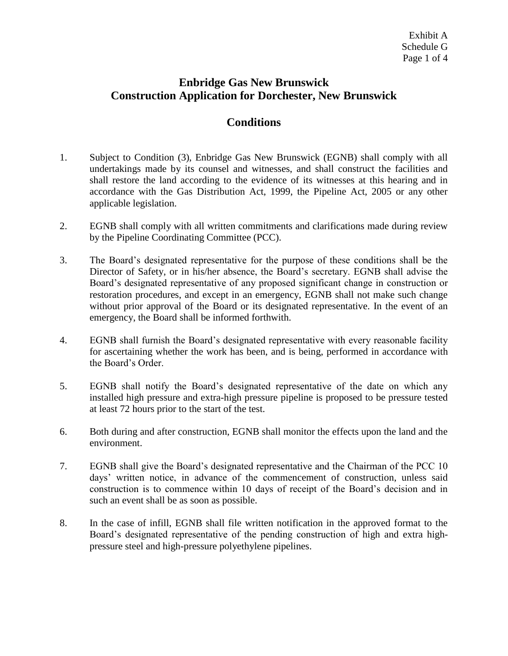## **Enbridge Gas New Brunswick Construction Application for Dorchester, New Brunswick**

## **Conditions**

- 1. Subject to Condition (3), Enbridge Gas New Brunswick (EGNB) shall comply with all undertakings made by its counsel and witnesses, and shall construct the facilities and shall restore the land according to the evidence of its witnesses at this hearing and in accordance with the Gas Distribution Act, 1999, the Pipeline Act, 2005 or any other applicable legislation.
- 2. EGNB shall comply with all written commitments and clarifications made during review by the Pipeline Coordinating Committee (PCC).
- 3. The Board's designated representative for the purpose of these conditions shall be the Director of Safety, or in his/her absence, the Board's secretary. EGNB shall advise the Board's designated representative of any proposed significant change in construction or restoration procedures, and except in an emergency, EGNB shall not make such change without prior approval of the Board or its designated representative. In the event of an emergency, the Board shall be informed forthwith.
- 4. EGNB shall furnish the Board's designated representative with every reasonable facility for ascertaining whether the work has been, and is being, performed in accordance with the Board's Order.
- 5. EGNB shall notify the Board's designated representative of the date on which any installed high pressure and extra-high pressure pipeline is proposed to be pressure tested at least 72 hours prior to the start of the test.
- 6. Both during and after construction, EGNB shall monitor the effects upon the land and the environment.
- 7. EGNB shall give the Board's designated representative and the Chairman of the PCC 10 days' written notice, in advance of the commencement of construction, unless said construction is to commence within 10 days of receipt of the Board's decision and in such an event shall be as soon as possible.
- 8. In the case of infill, EGNB shall file written notification in the approved format to the Board's designated representative of the pending construction of high and extra highpressure steel and high-pressure polyethylene pipelines.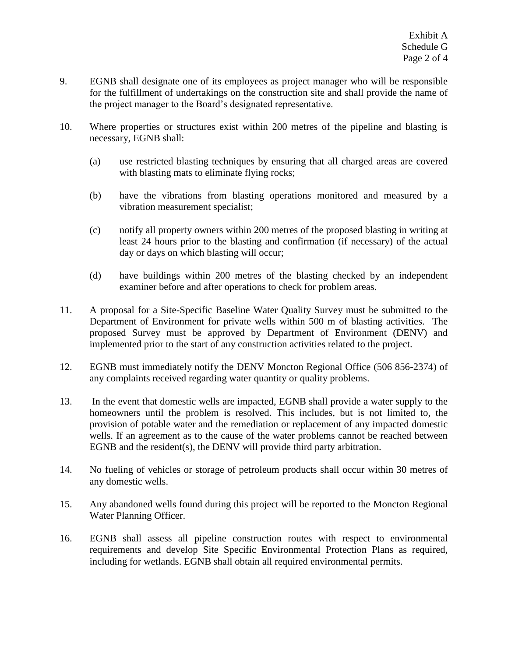- 9. EGNB shall designate one of its employees as project manager who will be responsible for the fulfillment of undertakings on the construction site and shall provide the name of the project manager to the Board's designated representative.
- 10. Where properties or structures exist within 200 metres of the pipeline and blasting is necessary, EGNB shall:
	- (a) use restricted blasting techniques by ensuring that all charged areas are covered with blasting mats to eliminate flying rocks;
	- (b) have the vibrations from blasting operations monitored and measured by a vibration measurement specialist;
	- (c) notify all property owners within 200 metres of the proposed blasting in writing at least 24 hours prior to the blasting and confirmation (if necessary) of the actual day or days on which blasting will occur;
	- (d) have buildings within 200 metres of the blasting checked by an independent examiner before and after operations to check for problem areas.
- 11. A proposal for a Site-Specific Baseline Water Quality Survey must be submitted to the Department of Environment for private wells within 500 m of blasting activities. The proposed Survey must be approved by Department of Environment (DENV) and implemented prior to the start of any construction activities related to the project.
- 12. EGNB must immediately notify the DENV Moncton Regional Office (506 856-2374) of any complaints received regarding water quantity or quality problems.
- 13. In the event that domestic wells are impacted, EGNB shall provide a water supply to the homeowners until the problem is resolved. This includes, but is not limited to, the provision of potable water and the remediation or replacement of any impacted domestic wells. If an agreement as to the cause of the water problems cannot be reached between EGNB and the resident(s), the DENV will provide third party arbitration.
- 14. No fueling of vehicles or storage of petroleum products shall occur within 30 metres of any domestic wells.
- 15. Any abandoned wells found during this project will be reported to the Moncton Regional Water Planning Officer.
- 16. EGNB shall assess all pipeline construction routes with respect to environmental requirements and develop Site Specific Environmental Protection Plans as required, including for wetlands. EGNB shall obtain all required environmental permits.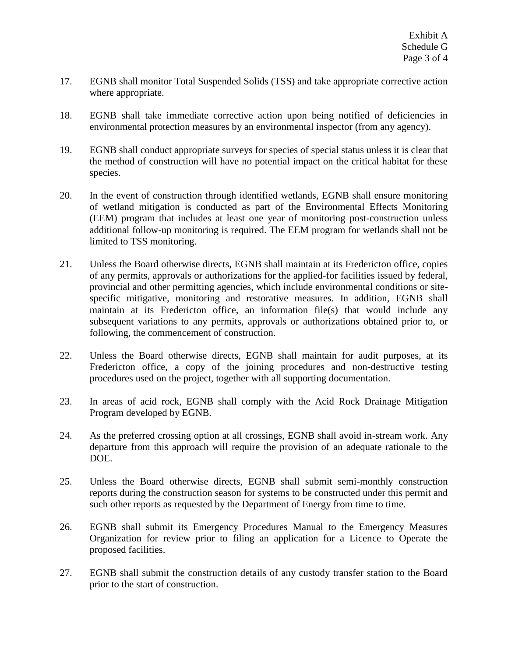- 17. EGNB shall monitor Total Suspended Solids (TSS) and take appropriate corrective action where appropriate.
- 18. EGNB shall take immediate corrective action upon being notified of deficiencies in environmental protection measures by an environmental inspector (from any agency).
- 19. EGNB shall conduct appropriate surveys for species of special status unless it is clear that the method of construction will have no potential impact on the critical habitat for these species.
- 20. In the event of construction through identified wetlands, EGNB shall ensure monitoring of wetland mitigation is conducted as part of the Environmental Effects Monitoring (EEM) program that includes at least one year of monitoring post-construction unless additional follow-up monitoring is required. The EEM program for wetlands shall not be limited to TSS monitoring.
- 21. Unless the Board otherwise directs, EGNB shall maintain at its Fredericton office, copies of any permits, approvals or authorizations for the applied-for facilities issued by federal, provincial and other permitting agencies, which include environmental conditions or sitespecific mitigative, monitoring and restorative measures. In addition, EGNB shall maintain at its Fredericton office, an information file(s) that would include any subsequent variations to any permits, approvals or authorizations obtained prior to, or following, the commencement of construction.
- 22. Unless the Board otherwise directs, EGNB shall maintain for audit purposes, at its Fredericton office, a copy of the joining procedures and non-destructive testing procedures used on the project, together with all supporting documentation.
- 23. In areas of acid rock, EGNB shall comply with the Acid Rock Drainage Mitigation Program developed by EGNB.
- 24. As the preferred crossing option at all crossings, EGNB shall avoid in-stream work. Any departure from this approach will require the provision of an adequate rationale to the DOE.
- 25. Unless the Board otherwise directs, EGNB shall submit semi-monthly construction reports during the construction season for systems to be constructed under this permit and such other reports as requested by the Department of Energy from time to time.
- 26. EGNB shall submit its Emergency Procedures Manual to the Emergency Measures Organization for review prior to filing an application for a Licence to Operate the proposed facilities.
- 27. EGNB shall submit the construction details of any custody transfer station to the Board prior to the start of construction.